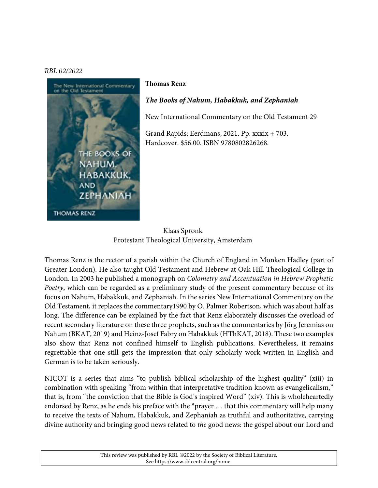## *RBL 02/2022*



## **Thomas Renz**

## *The Books of Nahum, Habakkuk, and Zephaniah*

New International Commentary on the Old Testament 29

Grand Rapids: Eerdmans, 2021. Pp. xxxix + 703. Hardcover. \$56.00. ISBN 9780802826268.

Klaas Spronk Protestant Theological University, Amsterdam

Thomas Renz is the rector of a parish within the Church of England in Monken Hadley (part of Greater London). He also taught Old Testament and Hebrew at Oak Hill Theological College in London. In 2003 he published a monograph on *Colometry and Accentuation in Hebrew Prophetic Poetry*, which can be regarded as a preliminary study of the present commentary because of its focus on Nahum, Habakkuk, and Zephaniah. In the series New International Commentary on the Old Testament, it replaces the commentary1990 by O. Palmer Robertson, which was about half as long. The difference can be explained by the fact that Renz elaborately discusses the overload of recent secondary literature on these three prophets, such as the commentaries by Jörg Jeremias on Nahum (BKAT, 2019) and Heinz-Josef Fabry on Habakkuk (HThKAT, 2018). These two examples also show that Renz not confined himself to English publications. Nevertheless, it remains regrettable that one still gets the impression that only scholarly work written in English and German is to be taken seriously.

NICOT is a series that aims "to publish biblical scholarship of the highest quality" (xiii) in combination with speaking "from within that interpretative tradition known as evangelicalism," that is, from "the conviction that the Bible is God's inspired Word" (xiv). This is wholeheartedly endorsed by Renz, as he ends his preface with the "prayer … that this commentary will help many to receive the texts of Nahum, Habakkuk, and Zephaniah as truthful and authoritative, carrying divine authority and bringing good news related to *the* good news: the gospel about our Lord and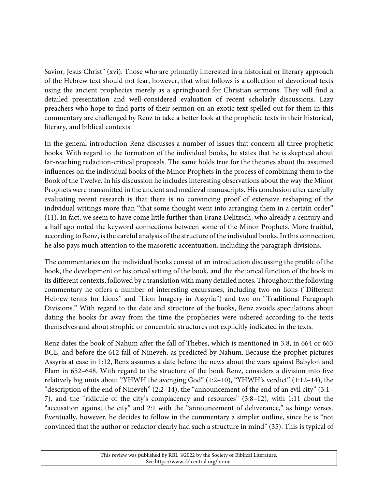Savior, Jesus Christ" (xvi). Those who are primarily interested in a historical or literary approach of the Hebrew text should not fear, however, that what follows is a collection of devotional texts using the ancient prophecies merely as a springboard for Christian sermons. They will find a detailed presentation and well-considered evaluation of recent scholarly discussions. Lazy preachers who hope to find parts of their sermon on an exotic text spelled out for them in this commentary are challenged by Renz to take a better look at the prophetic texts in their historical, literary, and biblical contexts.

In the general introduction Renz discusses a number of issues that concern all three prophetic books. With regard to the formation of the individual books, he states that he is skeptical about far-reaching redaction-critical proposals. The same holds true for the theories about the assumed influences on the individual books of the Minor Prophets in the process of combining them to the Book of the Twelve. In his discussion he includes interesting observations about the way the Minor Prophets were transmitted in the ancient and medieval manuscripts. His conclusion after carefully evaluating recent research is that there is no convincing proof of extensive reshaping of the individual writings more than "that some thought went into arranging them in a certain order" (11). In fact, we seem to have come little further than Franz Delitzsch, who already a century and a half ago noted the keyword connections between some of the Minor Prophets. More fruitful, according to Renz, is the careful analysis of the structure of the individual books. In this connection, he also pays much attention to the masoretic accentuation, including the paragraph divisions.

The commentaries on the individual books consist of an introduction discussing the profile of the book, the development or historical setting of the book, and the rhetorical function of the book in its different contexts, followed by a translation with many detailed notes. Throughout the following commentary he offers a number of interesting excursuses, including two on lions ("Different Hebrew terms for Lions" and "Lion Imagery in Assyria") and two on "Traditional Paragraph Divisions." With regard to the date and structure of the books, Renz avoids speculations about dating the books far away from the time the prophecies were ushered according to the texts themselves and about strophic or concentric structures not explicitly indicated in the texts.

Renz dates the book of Nahum after the fall of Thebes, which is mentioned in 3:8, in 664 or 663 BCE, and before the 612 fall of Nineveh, as predicted by Nahum. Because the prophet pictures Assyria at ease in 1:12, Renz assumes a date before the news about the wars against Babylon and Elam in 652–648. With regard to the structure of the book Renz, considers a division into five relatively big units about "YHWH the avenging God" (1:2–10), "YHWH's verdict" (1:12–14), the "description of the end of Nineveh" (2:2–14), the "announcement of the end of an evil city" (3:1– 7), and the "ridicule of the city's complacency and resources" (3:8–12), with 1:11 about the "accusation against the city" and 2:1 with the "announcement of deliverance," as hinge verses. Eventually, however, he decides to follow in the commentary a simpler outline, since he is "not convinced that the author or redactor clearly had such a structure in mind" (35). This is typical of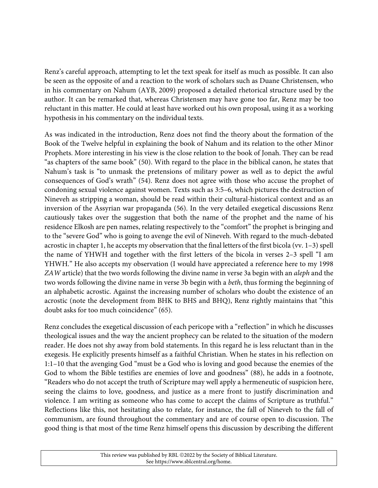Renz's careful approach, attempting to let the text speak for itself as much as possible. It can also be seen as the opposite of and a reaction to the work of scholars such as Duane Christensen, who in his commentary on Nahum (AYB, 2009) proposed a detailed rhetorical structure used by the author. It can be remarked that, whereas Christensen may have gone too far, Renz may be too reluctant in this matter. He could at least have worked out his own proposal, using it as a working hypothesis in his commentary on the individual texts.

As was indicated in the introduction, Renz does not find the theory about the formation of the Book of the Twelve helpful in explaining the book of Nahum and its relation to the other Minor Prophets. More interesting in his view is the close relation to the book of Jonah. They can be read "as chapters of the same book" (50). With regard to the place in the biblical canon, he states that Nahum's task is "to unmask the pretensions of military power as well as to depict the awful consequences of God's wrath" (54). Renz does not agree with those who accuse the prophet of condoning sexual violence against women. Texts such as 3:5–6, which pictures the destruction of Nineveh as stripping a woman, should be read within their cultural-historical context and as an inversion of the Assyrian war propaganda (56). In the very detailed exegetical discussions Renz cautiously takes over the suggestion that both the name of the prophet and the name of his residence Elkosh are pen names, relating respectively to the "comfort" the prophet is bringing and to the "severe God" who is going to avenge the evil of Nineveh. With regard to the much-debated acrostic in chapter 1, he accepts my observation that the final letters of the first bicola (vv.  $1-3$ ) spell the name of YHWH and together with the first letters of the bicola in verses 2–3 spell "I am YHWH." He also accepts my observation (I would have appreciated a reference here to my 1998 *ZAW* article) that the two words following the divine name in verse 3a begin with an *aleph* and the two words following the divine name in verse 3b begin with a *beth*, thus forming the beginning of an alphabetic acrostic. Against the increasing number of scholars who doubt the existence of an acrostic (note the development from BHK to BHS and BHQ), Renz rightly maintains that "this doubt asks for too much coincidence" (65).

Renz concludes the exegetical discussion of each pericope with a "reflection" in which he discusses theological issues and the way the ancient prophecy can be related to the situation of the modern reader. He does not shy away from bold statements. In this regard he is less reluctant than in the exegesis. He explicitly presents himself as a faithful Christian. When he states in his reflection on 1:1–10 that the avenging God "must be a God who is loving and good because the enemies of the God to whom the Bible testifies are enemies of love and goodness" (88), he adds in a footnote, "Readers who do not accept the truth of Scripture may well apply a hermeneutic of suspicion here, seeing the claims to love, goodness, and justice as a mere front to justify discrimination and violence. I am writing as someone who has come to accept the claims of Scripture as truthful." Reflections like this, not hesitating also to relate, for instance, the fall of Nineveh to the fall of communism, are found throughout the commentary and are of course open to discussion. The good thing is that most of the time Renz himself opens this discussion by describing the different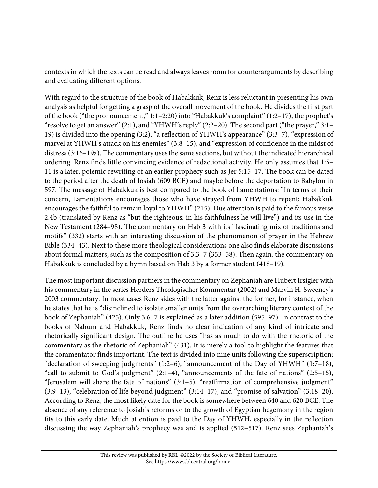contexts in which the texts can be read and always leavesroom for counterarguments by describing and evaluating different options.

With regard to the structure of the book of Habakkuk, Renz is less reluctant in presenting his own analysis as helpful for getting a grasp of the overall movement of the book. He divides the first part of the book ("the pronouncement," 1:1–2:20) into "Habakkuk's complaint" (1:2–17), the prophet's "resolve to get an answer" (2:1), and "YHWH's reply" (2:2–20). The second part ("the prayer," 3:1– 19) is divided into the opening (3:2), "a reflection of YHWH's appearance" (3:3–7), "expression of marvel at YHWH's attack on his enemies" (3:8–15), and "expression of confidence in the midst of distress (3:16–19a). The commentary uses the same sections, but without the indicated hierarchical ordering. Renz finds little convincing evidence of redactional activity. He only assumes that 1:5– 11 is a later, polemic rewriting of an earlier prophecy such as Jer 5:15–17. The book can be dated to the period after the death of Josiah (609 BCE) and maybe before the deportation to Babylon in 597. The message of Habakkuk is best compared to the book of Lamentations: "In terms of their concern, Lamentations encourages those who have strayed from YHWH to repent; Habakkuk encourages the faithful to remain loyal to YHWH" (215). Due attention is paid to the famous verse 2:4b (translated by Renz as "but the righteous: in his faithfulness he will live") and its use in the New Testament (284–98). The commentary on Hab 3 with its "fascinating mix of traditions and motifs" (332) starts with an interesting discussion of the phenomenon of prayer in the Hebrew Bible (334–43). Next to these more theological considerations one also finds elaborate discussions about formal matters, such as the composition of 3:3–7 (353–58). Then again, the commentary on Habakkuk is concluded by a hymn based on Hab 3 by a former student (418–19).

The most important discussion partners in the commentary on Zephaniah are Hubert Irsigler with his commentary in the series Herders Theologischer Kommentar (2002) and Marvin H. Sweeney's 2003 commentary. In most cases Renz sides with the latter against the former, for instance, when he states that he is "disinclined to isolate smaller units from the overarching literary context of the book of Zephaniah" (425). Only 3:6–7 is explained as a later addition (595–97). In contrast to the books of Nahum and Habakkuk, Renz finds no clear indication of any kind of intricate and rhetorically significant design. The outline he uses "has as much to do with the rhetoric of the commentary as the rhetoric of Zephaniah" (431). It is merely a tool to highlight the features that the commentator finds important. The text is divided into nine units following the superscription: "declaration of sweeping judgments" (1:2–6), "announcement of the Day of YHWH" (1:7–18), "call to submit to God's judgment" (2:1–4), "announcements of the fate of nations" (2:5–15), "Jerusalem will share the fate of nations" (3:1–5), "reaffirmation of comprehensive judgment" (3:9–13), "celebration of life beyond judgment" (3:14–17), and "promise of salvation" (3:18–20). According to Renz, the most likely date for the book is somewhere between 640 and 620 BCE. The absence of any reference to Josiah's reforms or to the growth of Egyptian hegemony in the region fits to this early date. Much attention is paid to the Day of YHWH, especially in the reflection discussing the way Zephaniah's prophecy was and is applied (512–517). Renz sees Zephaniah's